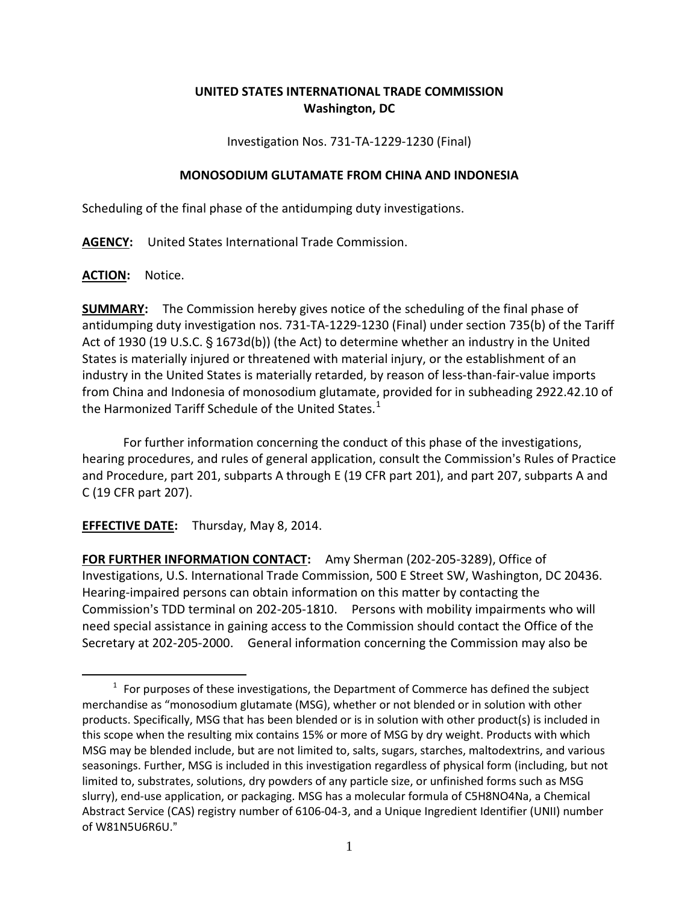## **UNITED STATES INTERNATIONAL TRADE COMMISSION Washington, DC**

Investigation Nos. 731-TA-1229-1230 (Final)

## **MONOSODIUM GLUTAMATE FROM CHINA AND INDONESIA**

Scheduling of the final phase of the antidumping duty investigations.

**AGENCY:** United States International Trade Commission.

**ACTION:** Notice.

 $\overline{a}$ 

**SUMMARY:** The Commission hereby gives notice of the scheduling of the final phase of antidumping duty investigation nos. 731-TA-1229-1230 (Final) under section 735(b) of the Tariff Act of 1930 (19 U.S.C.  $\S$  1673d(b)) (the Act) to determine whether an industry in the United States is materially injured or threatened with material injury, or the establishment of an industry in the United States is materially retarded, by reason of less-than-fair-value imports from China and Indonesia of monosodium glutamate, provided for in subheading 2922.42.10 of the Harmonized Tariff Schedule of the United States. $<sup>1</sup>$  $<sup>1</sup>$  $<sup>1</sup>$ </sup>

For further information concerning the conduct of this phase of the investigations, hearing procedures, and rules of general application, consult the Commission's Rules of Practice and Procedure, part 201, subparts A through E (19 CFR part 201), and part 207, subparts A and C (19 CFR part 207).

**EFFECTIVE DATE:** Thursday, May 8, 2014.

**FOR FURTHER INFORMATION CONTACT:** Amy Sherman (202-205-3289), Office of Investigations, U.S. International Trade Commission, 500 E Street SW, Washington, DC 20436. Hearing-impaired persons can obtain information on this matter by contacting the Commission's TDD terminal on 202-205-1810. Persons with mobility impairments who will need special assistance in gaining access to the Commission should contact the Office of the Secretary at 202-205-2000. General information concerning the Commission may also be

<span id="page-0-0"></span> $1$  For purposes of these investigations, the Department of Commerce has defined the subject merchandise as "monosodium glutamate (MSG), whether or not blended or in solution with other products. Specifically, MSG that has been blended or is in solution with other product(s) is included in this scope when the resulting mix contains 15% or more of MSG by dry weight. Products with which MSG may be blended include, but are not limited to, salts, sugars, starches, maltodextrins, and various seasonings. Further, MSG is included in this investigation regardless of physical form (including, but not limited to, substrates, solutions, dry powders of any particle size, or unfinished forms such as MSG slurry), end-use application, or packaging. MSG has a molecular formula of C5H8NO4Na, a Chemical Abstract Service (CAS) registry number of 6106-04-3, and a Unique Ingredient Identifier (UNII) number of W81N5U6R6U."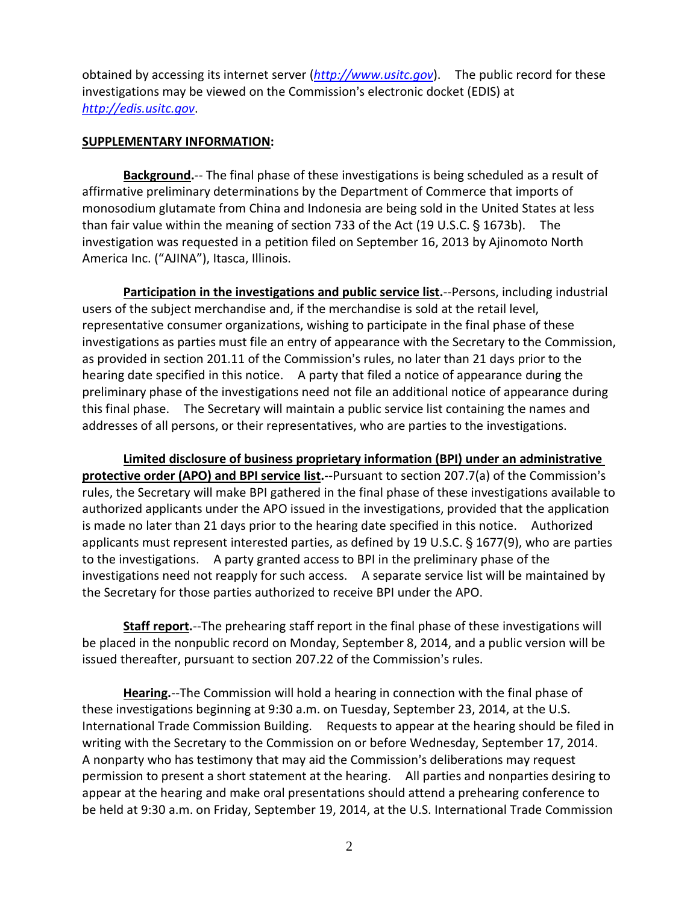obtained by accessing its internet server (*[http://www.usitc.gov](http://www.usitc.gov/)*). The public record for these investigations may be viewed on the Commission's electronic docket (EDIS) at *[http://edis.usitc.gov](http://edis.usitc.gov/)*.

## **SUPPLEMENTARY INFORMATION:**

**Background.**-- The final phase of these investigations is being scheduled as a result of affirmative preliminary determinations by the Department of Commerce that imports of monosodium glutamate from China and Indonesia are being sold in the United States at less than fair value within the meaning of section 733 of the Act (19 U.S.C.  $\S$  1673b). The investigation was requested in a petition filed on September 16, 2013 by Ajinomoto North America Inc. ("AJINA"), Itasca, Illinois.

**Participation in the investigations and public service list.**--Persons, including industrial users of the subject merchandise and, if the merchandise is sold at the retail level, representative consumer organizations, wishing to participate in the final phase of these investigations as parties must file an entry of appearance with the Secretary to the Commission, as provided in section 201.11 of the Commission's rules, no later than 21 days prior to the hearing date specified in this notice. A party that filed a notice of appearance during the preliminary phase of the investigations need not file an additional notice of appearance during this final phase. The Secretary will maintain a public service list containing the names and addresses of all persons, or their representatives, who are parties to the investigations.

**Limited disclosure of business proprietary information (BPI) under an administrative protective order (APO) and BPI service list.**--Pursuant to section 207.7(a) of the Commission's rules, the Secretary will make BPI gathered in the final phase of these investigations available to authorized applicants under the APO issued in the investigations, provided that the application is made no later than 21 days prior to the hearing date specified in this notice. Authorized applicants must represent interested parties, as defined by 19 U.S.C.  $\S$  1677(9), who are parties to the investigations. A party granted access to BPI in the preliminary phase of the investigations need not reapply for such access. A separate service list will be maintained by the Secretary for those parties authorized to receive BPI under the APO.

**Staff report.**--The prehearing staff report in the final phase of these investigations will be placed in the nonpublic record on Monday, September 8, 2014, and a public version will be issued thereafter, pursuant to section 207.22 of the Commission's rules.

**Hearing.**--The Commission will hold a hearing in connection with the final phase of these investigations beginning at 9:30 a.m. on Tuesday, September 23, 2014, at the U.S. International Trade Commission Building. Requests to appear at the hearing should be filed in writing with the Secretary to the Commission on or before Wednesday, September 17, 2014. A nonparty who has testimony that may aid the Commission's deliberations may request permission to present a short statement at the hearing. All parties and nonparties desiring to appear at the hearing and make oral presentations should attend a prehearing conference to be held at 9:30 a.m. on Friday, September 19, 2014, at the U.S. International Trade Commission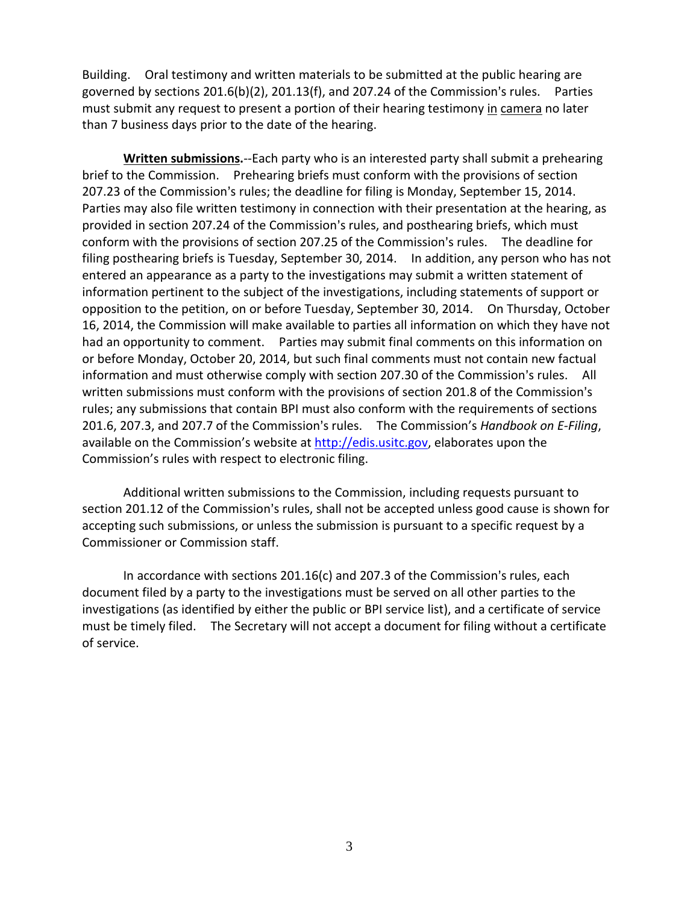Building. Oral testimony and written materials to be submitted at the public hearing are governed by sections  $201.6(b)(2)$ ,  $201.13(f)$ , and  $207.24$  of the Commission's rules. Parties must submit any request to present a portion of their hearing testimony in camera no later than 7 business days prior to the date of the hearing.

**Written submissions.**--Each party who is an interested party shall submit a prehearing brief to the Commission. Prehearing briefs must conform with the provisions of section 207.23 of the Commission's rules; the deadline for filing is Monday, September 15, 2014. Parties may also file written testimony in connection with their presentation at the hearing, as provided in section 207.24 of the Commission's rules, and posthearing briefs, which must conform with the provisions of section 207.25 of the Commission's rules. The deadline for filing posthearing briefs is Tuesday, September 30, 2014. In addition, any person who has not entered an appearance as a party to the investigations may submit a written statement of information pertinent to the subject of the investigations, including statements of support or opposition to the petition, on or before Tuesday, September 30, 2014. On Thursday, October 16, 2014, the Commission will make available to parties all information on which they have not had an opportunity to comment. Parties may submit final comments on this information on or before Monday, October 20, 2014, but such final comments must not contain new factual information and must otherwise comply with section 207.30 of the Commission's rules. All written submissions must conform with the provisions of section 201.8 of the Commission's rules; any submissions that contain BPI must also conform with the requirements of sections 201.6, 207.3, and 207.7 of the Commission's rules. The Commission's *Handbook on E-Filing*, available on the Commission's website at [http://edis.usitc.gov,](http://edis.usitc.gov/) elaborates upon the Commission's rules with respect to electronic filing.

Additional written submissions to the Commission, including requests pursuant to section 201.12 of the Commission's rules, shall not be accepted unless good cause is shown for accepting such submissions, or unless the submission is pursuant to a specific request by a Commissioner or Commission staff.

In accordance with sections  $201.16(c)$  and  $207.3$  of the Commission's rules, each document filed by a party to the investigations must be served on all other parties to the investigations (as identified by either the public or BPI service list), and a certificate of service must be timely filed. The Secretary will not accept a document for filing without a certificate of service.